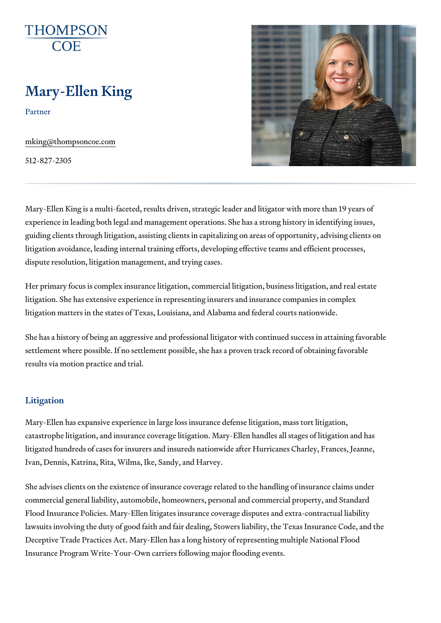# Mary-Ellen King

Partner

[mking@thompson](mailto:mking@thompsoncoe.com)coe.com

512-827-2305

Mary-Ellen King is a multi-faceted, results driven, strategic leader and liti experience in leading both legal and management operations. She has a st guiding clients through litigation, assisting clients in capitalizing on areas litigation avoidance, leading internal training efforts, developing effective dispute resolution, litigation management, and trying cases.

Her primary focus is complex insurance litigation, commercial litigation, b litigation. She has extensive experience in representing insurers and insur litigation matters in the states of Texas, Louisiana, and Alabama and fede

She has a history of being an aggressive and professional litigator with co settlement where possible. If no settlement possible, she has a proven tra results via motion practice and trial.

#### Litigation

Mary-Ellen has expansive experience in large loss insurance defense litigation, mass tort litigation, mass tor catastrophe litigation, and insurance coverage litigation. Mary-Ellen handl litigated hundreds of cases for insurers and insureds nationwide after Huricanes Ivan, Dennis, Katrina, Rita, Wilma, Ike, Sandy, and Harvey.

She advises clients on the existence of insurance coverage related to the commercial general liability, automobile, homeowners, personal and comme Flood Insurance Policies. Mary-Ellen litigates insurance coverage disputes lawsuits involving the duty of good faith and fair dealing, Stowers liability Deceptive Trade Practices Act. Mary-Ellen has a long history of representi Insurance Program Write-Your-Own carriers following major flooding events.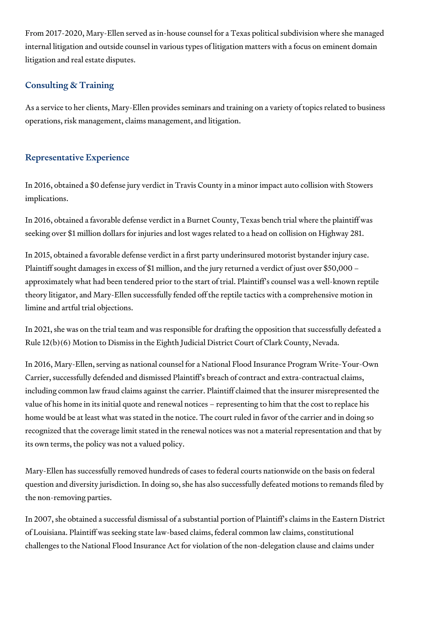From 2017-2020, Mary-Ellen served as in-house counsel for a Texas political subdivision where she managed internal litigation and outside counsel in various types of litigation matters with a focus on eminent domain litigation and real estate disputes.

# Consulting & Training

As a service to her clients, Mary-Ellen provides seminars and training on a variety of topics related to business operations, risk management, claims management, and litigation.

## Representative Experience

In 2016, obtained a \$0 defense jury verdict in Travis County in a minor impact auto collision with Stowers implications.

In 2016, obtained a favorable defense verdict in a Burnet County, Texas bench trial where the plaintiff was seeking over \$1 million dollars for injuries and lost wages related to a head on collision on Highway 281.

In 2015, obtained a favorable defense verdict in a first party underinsured motorist bystander injury case. Plaintiff sought damages in excess of \$1 million, and the jury returned a verdict of just over \$50,000 – approximately what had been tendered prior to the start of trial. Plaintiff's counsel was a well-known reptile theory litigator, and Mary-Ellen successfully fended off the reptile tactics with a comprehensive motion in limine and artful trial objections.

In 2021, she was on the trial team and was responsible for drafting the opposition that successfully defeated a Rule 12(b)(6) Motion to Dismiss in the Eighth Judicial District Court of Clark County, Nevada.

In 2016, Mary-Ellen, serving as national counsel for a National Flood Insurance Program Write-Your-Own Carrier, successfully defended and dismissed Plaintiff's breach of contract and extra-contractual claims, including common law fraud claims against the carrier. Plaintiff claimed that the insurer misrepresented the value of his home in its initial quote and renewal notices – representing to him that the cost to replace his home would be at least what was stated in the notice. The court ruled in favor of the carrier and in doing so recognized that the coverage limit stated in the renewal notices was not a material representation and that by its own terms, the policy was not a valued policy.

Mary-Ellen has successfully removed hundreds of cases to federal courts nationwide on the basis on federal question and diversity jurisdiction. In doing so, she has also successfully defeated motions to remands filed by the non-removing parties.

In 2007, she obtained a successful dismissal of a substantial portion of Plaintiff's claims in the Eastern District of Louisiana. Plaintiff was seeking state law-based claims, federal common law claims, constitutional challenges to the National Flood Insurance Act for violation of the non-delegation clause and claims under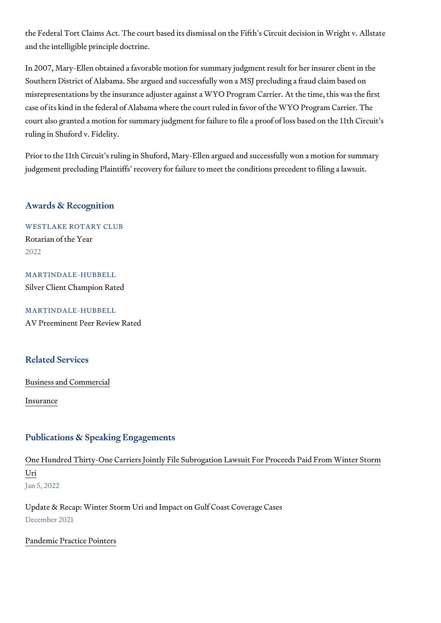the Federal Tort Claims Act. The court based its dismissal on the Fifth s C and the intelligible principle doctrine.

In 2007, Mary-Ellen obtained a favorable motion for summary judgment res Southern District of Alabama. She argued and successfully won a MSJ prec misrepresentations by the insurance adjuster against a WYO Program Carri case of its kind in the federal of Alabama where the court ruled in favor of court also granted a motion for summary judgment for failure to file a proo ruling in Shuford v. Fidelity.

Prior to the 11th Circuit s ruling in Shuford, Mary-Ellen argued and succes judgement precluding Plaintiffs recovery for failure to meet the conditions

#### Awards & Recognition

WESTLAKE ROTARY CLUB Rotarian of the Year 2022

MARTINDALE-HUBBELL Silver Client Champion Rated

MARTINDALE-HUBBELL AV Preeminent Peer Review Rated

#### Related Services

[Business and C](https://www.thompsoncoe.com/people/mary-ellen-king/)ommercial

[Insura](https://www.thompsoncoe.com/people/mary-ellen-king/)nce

#### Publications & Speaking Engagements

# [One Hundred Thirty-One Carriers Jointly File Subrogation Lawsu](https://www.thompsoncoe.com/resources/publications/one-hundred-thirty-one-carriers-jointly-file-subrogation-lawsuit-for-proceeds-paid-from-winter-storm-uri/)it For Prod [Ur](https://www.thompsoncoe.com/resources/publications/one-hundred-thirty-one-carriers-jointly-file-subrogation-lawsuit-for-proceeds-paid-from-winter-storm-uri/)i Jan 5, 2022

Update & Recap: Winter Storm Uri and Impact on Gulf Coast Coverage Case December 2021

#### [Pandemic Practi](https://www.thompsoncoe.com/resources/publications/pandemic-practice-pointers/)ce Pointers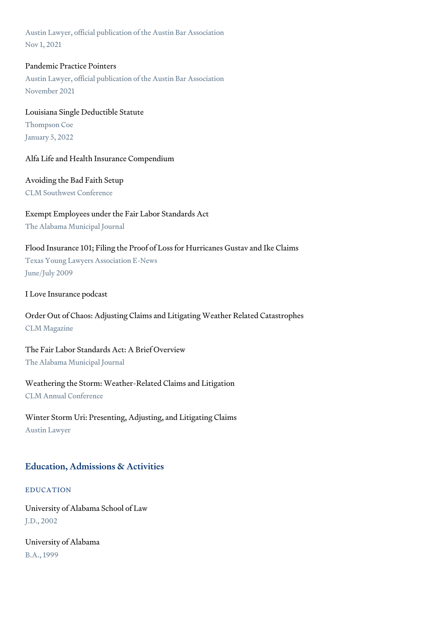Austin Lawyer, official publication of the Austin Bar Association Nov 1, 2021

## Pandemic Practice Pointers

Austin Lawyer, official publication of the Austin Bar Association November 2021

# Louisiana Single Deductible Statute Thompson Coe January 5, 2022

## Alfa Life and Health Insurance Compendium

## Avoiding the Bad Faith Setup

CLM Southwest Conference

# Exempt Employees under the Fair Labor Standards Act

The Alabama Municipal Journal

## Flood Insurance 101; Filing the Proof of Loss for Hurricanes Gustav and Ike Claims

Texas Young Lawyers Association E-News June/July 2009

## I Love Insurance podcast

# Order Out of Chaos: Adjusting Claims and Litigating Weather Related Catastrophes CLM Magazine

# The Fair Labor Standards Act: A Brief Overview

The Alabama Municipal Journal

## Weathering the Storm: Weather-Related Claims and Litigation

CLM Annual Conference

# Winter Storm Uri: Presenting, Adjusting, and Litigating Claims

Austin Lawyer

# Education, Admissions & Activities

## EDUCATION

University of Alabama School of Law J.D., 2002

University of Alabama B.A., 1999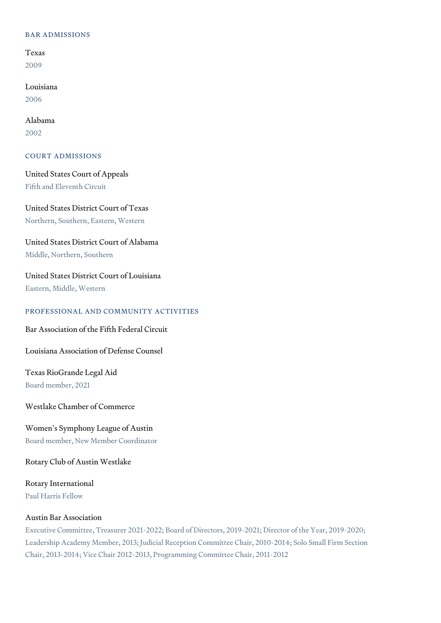#### BAR ADMISSIONS

Texas 2009

Louisiana 2006

Alabama 2002

#### COURT ADMISSIONS

United States Court of Appeals Fifth and Eleventh Circuit

United States District Court of Texas Northern, Southern, Eastern, Western

United States District Court of Alabama

Middle, Northern, Southern

United States District Court of Louisiana

Eastern, Middle, Western

#### PROFESSIONAL AND COMMUNITY ACTIVITIES

Bar Association of the Fifth Federal Circuit

Louisiana Association of Defense Counsel

Texas RioGrande Legal Aid Board member, 2021

Westlake Chamber of Commerce

Women's Symphony League of Austin Board member, New Member Coordinator

Rotary Club of Austin Westlake

Rotary International Paul Harris Fellow

#### Austin Bar Association

Executive Committee, Treasurer 2021-2022; Board of Directors, 2019-2021; Director of the Year, 2019-2020; Leadership Academy Member, 2013; Judicial Reception Committee Chair, 2010-2014; Solo Small Firm Section Chair, 2013-2014; Vice Chair 2012-2013, Programming Committee Chair, 2011-2012